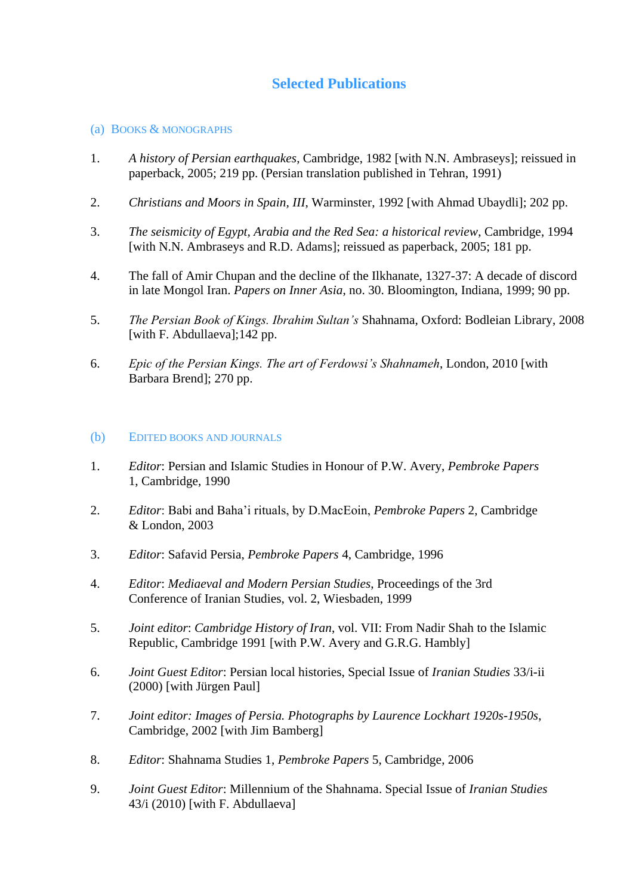# **Selected Publications**

## (a) BOOKS & MONOGRAPHS

- 1. *A history of Persian earthquakes*, Cambridge, 1982 [with N.N. Ambraseys]; reissued in paperback, 2005; 219 pp. (Persian translation published in Tehran, 1991)
- 2. *Christians and Moors in Spain, III*, Warminster, 1992 [with Ahmad Ubaydli]; 202 pp.
- 3. *The seismicity of Egypt, Arabia and the Red Sea: a historical review*, Cambridge, 1994 [with N.N. Ambraseys and R.D. Adams]; reissued as paperback, 2005; 181 pp.
- 4. The fall of Amir Chupan and the decline of the Ilkhanate, 1327-37: A decade of discord in late Mongol Iran. *Papers on Inner Asia*, no. 30. Bloomington, Indiana, 1999; 90 pp.
- 5. *The Persian Book of Kings. Ibrahim Sultan's* Shahnama, Oxford: Bodleian Library, 2008 [with F. Abdullaeva]; 142 pp.
- 6. *Epic of the Persian Kings. The art of Ferdowsi's Shahnameh*, London, 2010 [with Barbara Brend]; 270 pp.

# (b) EDITED BOOKS AND JOURNALS

- 1. *Editor*: Persian and Islamic Studies in Honour of P.W. Avery, *Pembroke Papers* 1, Cambridge, 1990
- 2. *Editor*: Babi and Baha'i rituals, by D.MacEoin, *Pembroke Papers* 2, Cambridge & London, 2003
- 3. *Editor*: Safavid Persia, *Pembroke Papers* 4, Cambridge, 1996
- 4. *Editor*: *Mediaeval and Modern Persian Studies*, Proceedings of the 3rd Conference of Iranian Studies, vol. 2, Wiesbaden, 1999
- 5. *Joint editor*: *Cambridge History of Iran*, vol. VII: From Nadir Shah to the Islamic Republic, Cambridge 1991 [with P.W. Avery and G.R.G. Hambly]
- 6. *Joint Guest Editor*: Persian local histories, Special Issue of *Iranian Studies* 33/i-ii (2000) [with Jürgen Paul]
- 7. *Joint editor: Images of Persia. Photographs by Laurence Lockhart 1920s-1950s*, Cambridge, 2002 [with Jim Bamberg]
- 8. *Editor*: Shahnama Studies 1, *Pembroke Papers* 5, Cambridge, 2006
- 9. *Joint Guest Editor*: Millennium of the Shahnama. Special Issue of *Iranian Studies* 43/i (2010) [with F. Abdullaeva]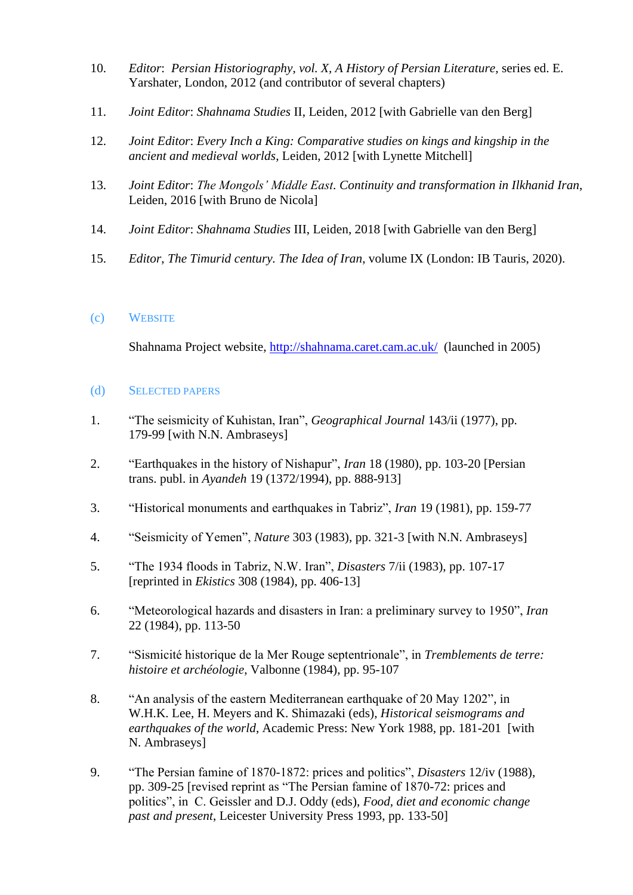- 10. *Editor*: *Persian Historiography*, *vol. X, A History of Persian Literature,* series ed. E. Yarshater, London, 2012 (and contributor of several chapters)
- 11. *Joint Editor*: *Shahnama Studies* II, Leiden, 2012 [with Gabrielle van den Berg]
- 12. *Joint Editor*: *Every Inch a King: Comparative studies on kings and kingship in the ancient and medieval worlds*, Leiden, 2012 [with Lynette Mitchell]
- 13. *Joint Editor*: *The Mongols' Middle East. Continuity and transformation in Ilkhanid Iran*, Leiden, 2016 [with Bruno de Nicola]
- 14. *Joint Editor*: *Shahnama Studies* III, Leiden, 2018 [with Gabrielle van den Berg]
- 15. *Editor*, *The Timurid century. The Idea of Iran*, volume IX (London: IB Tauris, 2020).

# (c) WEBSITE

Shahnama Project website,<http://shahnama.caret.cam.ac.uk/>(launched in 2005)

## (d) SELECTED PAPERS

- 1. "The seismicity of Kuhistan, Iran", *Geographical Journal* 143/ii (1977), pp. 179-99 [with N.N. Ambraseys]
- 2. "Earthquakes in the history of Nishapur", *Iran* 18 (1980), pp. 103-20 [Persian trans. publ. in *Ayandeh* 19 (1372/1994), pp. 888-913]
- 3. "Historical monuments and earthquakes in Tabriz", *Iran* 19 (1981), pp. 159-77
- 4. "Seismicity of Yemen", *Nature* 303 (1983), pp. 321-3 [with N.N. Ambraseys]
- 5. "The 1934 floods in Tabriz, N.W. Iran", *Disasters* 7/ii (1983), pp. 107-17 [reprinted in *Ekistics* 308 (1984), pp. 406-13]
- 6. "Meteorological hazards and disasters in Iran: a preliminary survey to 1950", *Iran* 22 (1984), pp. 113-50
- 7. "Sismicité historique de la Mer Rouge septentrionale", in *Tremblements de terre: histoire et archéologie*, Valbonne (1984), pp. 95-107
- 8. "An analysis of the eastern Mediterranean earthquake of 20 May 1202", in W.H.K. Lee, H. Meyers and K. Shimazaki (eds), *Historical seismograms and earthquakes of the world*, Academic Press: New York 1988, pp. 181-201 [with N. Ambraseys]
- 9. "The Persian famine of 1870-1872: prices and politics", *Disasters* 12/iv (1988), pp. 309-25 [revised reprint as "The Persian famine of 1870-72: prices and politics", in C. Geissler and D.J. Oddy (eds), *Food, diet and economic change past and present*, Leicester University Press 1993, pp. 133-50]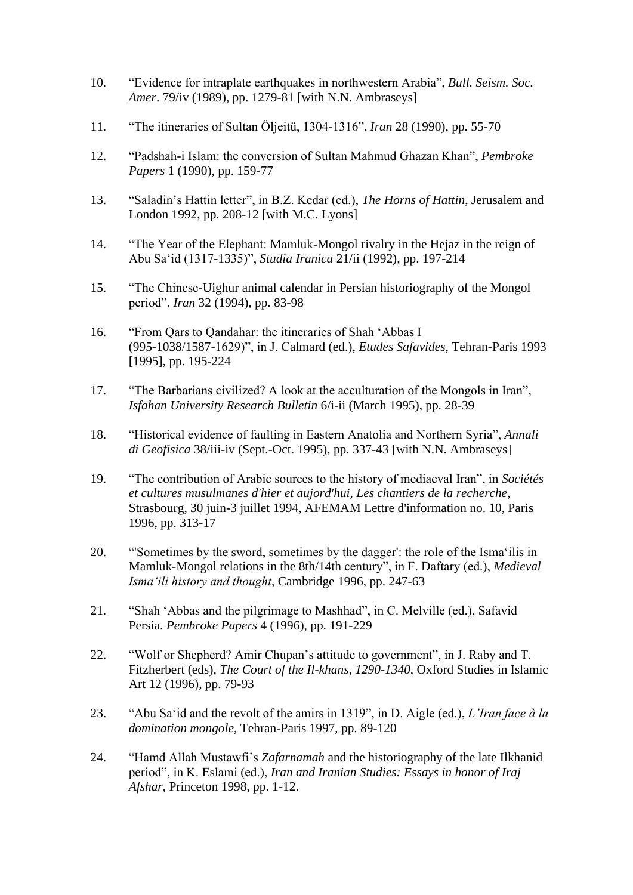- 10. "Evidence for intraplate earthquakes in northwestern Arabia", *Bull. Seism. Soc. Amer*. 79/iv (1989), pp. 1279-81 [with N.N. Ambraseys]
- 11. "The itineraries of Sultan Öljeitü, 1304-1316", *Iran* 28 (1990), pp. 55-70
- 12. "Padshah-i Islam: the conversion of Sultan Mahmud Ghazan Khan", *Pembroke Papers* 1 (1990), pp. 159-77
- 13. "Saladin's Hattin letter", in B.Z. Kedar (ed.), *The Horns of Hattin*, Jerusalem and London 1992, pp. 208-12 [with M.C. Lyons]
- 14. "The Year of the Elephant: Mamluk-Mongol rivalry in the Hejaz in the reign of Abu Sa'id (1317-1335)", *Studia Iranica* 21/ii (1992), pp. 197-214
- 15. "The Chinese-Uighur animal calendar in Persian historiography of the Mongol period", *Iran* 32 (1994), pp. 83-98
- 16. "From Qars to Qandahar: the itineraries of Shah 'Abbas I (995-1038/1587-1629)", in J. Calmard (ed.), *Etudes Safavides*, Tehran-Paris 1993 [1995], pp. 195-224
- 17. "The Barbarians civilized? A look at the acculturation of the Mongols in Iran", *Isfahan University Research Bulletin* 6/i-ii (March 1995), pp. 28-39
- 18. "Historical evidence of faulting in Eastern Anatolia and Northern Syria", *Annali di Geofisica* 38/iii-iv (Sept.-Oct. 1995), pp. 337-43 [with N.N. Ambraseys]
- 19. "The contribution of Arabic sources to the history of mediaeval Iran", in *Sociétés et cultures musulmanes d'hier et aujord'hui, Les chantiers de la recherche*, Strasbourg, 30 juin-3 juillet 1994, AFEMAM Lettre d'information no. 10, Paris 1996, pp. 313-17
- 20. "'Sometimes by the sword, sometimes by the dagger': the role of the Isma'ilis in Mamluk-Mongol relations in the 8th/14th century", in F. Daftary (ed.), *Medieval Isma'ili history and thought*, Cambridge 1996, pp. 247-63
- 21. "Shah 'Abbas and the pilgrimage to Mashhad", in C. Melville (ed.), Safavid Persia. *Pembroke Papers* 4 (1996), pp. 191-229
- 22. "Wolf or Shepherd? Amir Chupan's attitude to government", in J. Raby and T. Fitzherbert (eds), *The Court of the Il-khans, 1290-1340*, Oxford Studies in Islamic Art 12 (1996), pp. 79-93
- 23. "Abu Sa'id and the revolt of the amirs in 1319", in D. Aigle (ed.), *L'Iran face à la domination mongole*, Tehran-Paris 1997, pp. 89-120
- 24. "Hamd Allah Mustawfi's *Zafarnamah* and the historiography of the late Ilkhanid period", in K. Eslami (ed.), *Iran and Iranian Studies: Essays in honor of Iraj Afshar*, Princeton 1998, pp. 1-12.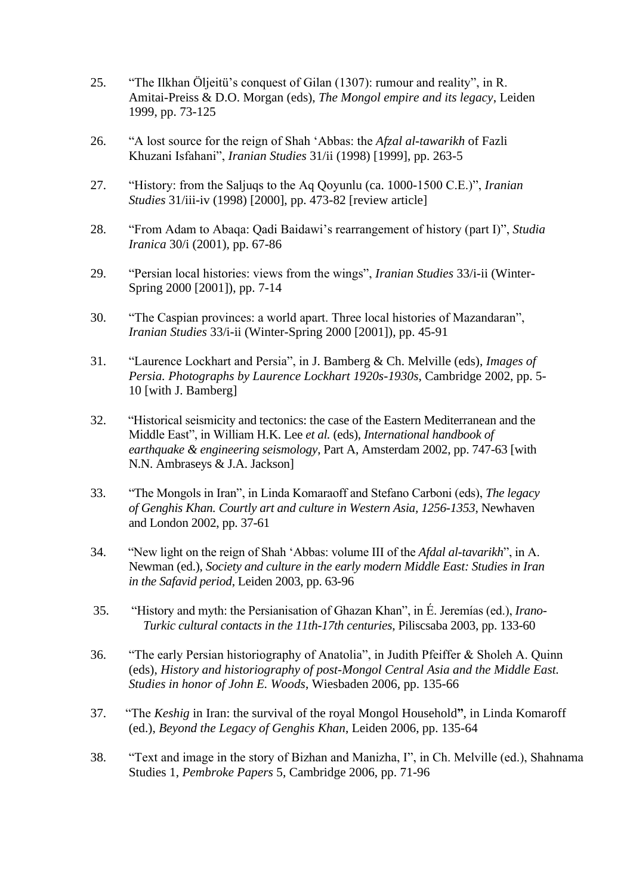- 25. "The Ilkhan Öljeitü's conquest of Gilan (1307): rumour and reality", in R. Amitai-Preiss & D.O. Morgan (eds), *The Mongol empire and its legacy*, Leiden 1999, pp. 73-125
- 26. "A lost source for the reign of Shah 'Abbas: the *Afzal al-tawarikh* of Fazli Khuzani Isfahani", *Iranian Studies* 31/ii (1998) [1999], pp. 263-5
- 27. "History: from the Saljuqs to the Aq Qoyunlu (ca. 1000-1500 C.E.)", *Iranian Studies* 31/iii-iv (1998) [2000], pp. 473-82 [review article]
- 28. "From Adam to Abaqa: Qadi Baidawi's rearrangement of history (part I)", *Studia Iranica* 30/i (2001), pp. 67-86
- 29. "Persian local histories: views from the wings", *Iranian Studies* 33/i-ii (Winter-Spring 2000 [2001]), pp. 7-14
- 30. "The Caspian provinces: a world apart. Three local histories of Mazandaran", *Iranian Studies* 33/i-ii (Winter-Spring 2000 [2001]), pp. 45-91
- 31. "Laurence Lockhart and Persia", in J. Bamberg & Ch. Melville (eds), *Images of Persia. Photographs by Laurence Lockhart 1920s-1930s*, Cambridge 2002, pp. 5- 10 [with J. Bamberg]
- 32. "Historical seismicity and tectonics: the case of the Eastern Mediterranean and the Middle East", in William H.K. Lee *et al.* (eds), *International handbook of earthquake & engineering seismology*, Part A, Amsterdam 2002, pp. 747-63 [with N.N. Ambraseys & J.A. Jackson]
- 33. "The Mongols in Iran", in Linda Komaraoff and Stefano Carboni (eds), *The legacy of Genghis Khan. Courtly art and culture in Western Asia, 1256-1353*, Newhaven and London 2002, pp. 37-61
- 34. "New light on the reign of Shah 'Abbas: volume III of the *Afdal al-tavarikh*", in A. Newman (ed.), *Society and culture in the early modern Middle East: Studies in Iran in the Safavid period*, Leiden 2003, pp. 63-96
- 35. "History and myth: the Persianisation of Ghazan Khan", in É. Jeremías (ed.), *Irano-Turkic cultural contacts in the 11th-17th centuries*, Piliscsaba 2003, pp. 133-60
- 36. "The early Persian historiography of Anatolia", in Judith Pfeiffer & Sholeh A. Quinn (eds), *History and historiography of post-Mongol Central Asia and the Middle East. Studies in honor of John E. Woods*, Wiesbaden 2006, pp. 135-66
- 37. "The *Keshig* in Iran: the survival of the royal Mongol Household**"**, in Linda Komaroff (ed.), *Beyond the Legacy of Genghis Khan*, Leiden 2006, pp. 135-64
- 38. "Text and image in the story of Bizhan and Manizha, I", in Ch. Melville (ed.), Shahnama Studies 1, *Pembroke Papers* 5, Cambridge 2006, pp. 71-96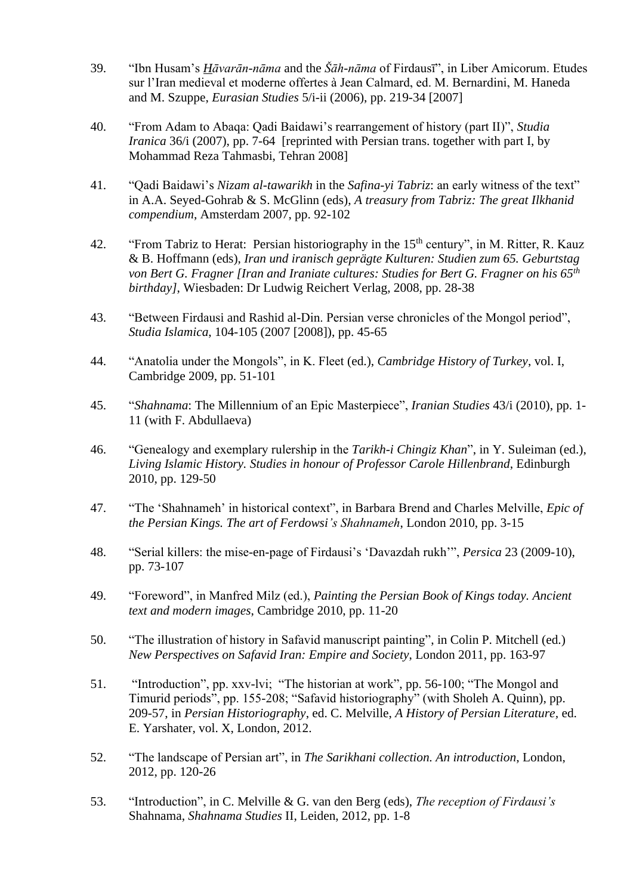- 39. "Ibn Husam's *Hāvarān-nāma* and the *Šāh-nāma* of Firdausī", in Liber Amicorum. Etudes sur l'Iran medieval et moderne offertes à Jean Calmard, ed. M. Bernardini, M. Haneda and M. Szuppe, *Eurasian Studies* 5/i-ii (2006), pp. 219-34 [2007]
- 40. "From Adam to Abaqa: Qadi Baidawi's rearrangement of history (part II)", *Studia Iranica* 36/i (2007), pp. 7-64 [reprinted with Persian trans. together with part I, by Mohammad Reza Tahmasbi, Tehran 2008]
- 41. "Qadi Baidawi's *Nizam al-tawarikh* in the *Safina-yi Tabriz*: an early witness of the text" in A.A. Seyed-Gohrab & S. McGlinn (eds), *A treasury from Tabriz: The great Ilkhanid compendium*, Amsterdam 2007, pp. 92-102
- 42. "From Tabriz to Herat: Persian historiography in the 15<sup>th</sup> century", in M. Ritter, R. Kauz & B. Hoffmann (eds), *Iran und iranisch geprägte Kulturen: Studien zum 65. Geburtstag von Bert G. Fragner [Iran and Iraniate cultures: Studies for Bert G. Fragner on his 65th birthday]*, Wiesbaden: Dr Ludwig Reichert Verlag, 2008, pp. 28-38
- 43. "Between Firdausi and Rashid al-Din. Persian verse chronicles of the Mongol period", *Studia Islamica*, 104-105 (2007 [2008]), pp. 45-65
- 44. "Anatolia under the Mongols", in K. Fleet (ed.), *Cambridge History of Turkey*, vol. I, Cambridge 2009, pp. 51-101
- 45. "*Shahnama*: The Millennium of an Epic Masterpiece", *Iranian Studies* 43/i (2010), pp. 1- 11 (with F. Abdullaeva)
- 46. "Genealogy and exemplary rulership in the *Tarikh-i Chingiz Khan*", in Y. Suleiman (ed.), *Living Islamic History. Studies in honour of Professor Carole Hillenbrand*, Edinburgh 2010, pp. 129-50
- 47. "The 'Shahnameh' in historical context", in Barbara Brend and Charles Melville, *Epic of the Persian Kings. The art of Ferdowsi's Shahnameh*, London 2010, pp. 3-15
- 48. "Serial killers: the mise-en-page of Firdausi's 'Davazdah rukh'", *Persica* 23 (2009-10), pp. 73-107
- 49. "Foreword", in Manfred Milz (ed.), *Painting the Persian Book of Kings today. Ancient text and modern images*, Cambridge 2010, pp. 11-20
- 50. "The illustration of history in Safavid manuscript painting", in Colin P. Mitchell (ed.) *New Perspectives on Safavid Iran: Empire and Society*, London 2011, pp. 163-97
- 51. "Introduction", pp. xxv-lvi; "The historian at work", pp. 56-100; "The Mongol and Timurid periods", pp. 155-208; "Safavid historiography" (with Sholeh A. Quinn), pp. 209-57, in *Persian Historiography*, ed. C. Melville, *A History of Persian Literature,* ed. E. Yarshater, vol. X, London, 2012.
- 52. "The landscape of Persian art", in *The Sarikhani collection. An introduction*, London, 2012, pp. 120-26
- 53. "Introduction", in C. Melville & G. van den Berg (eds), *The reception of Firdausi's*  Shahnama, *Shahnama Studies* II, Leiden, 2012, pp. 1-8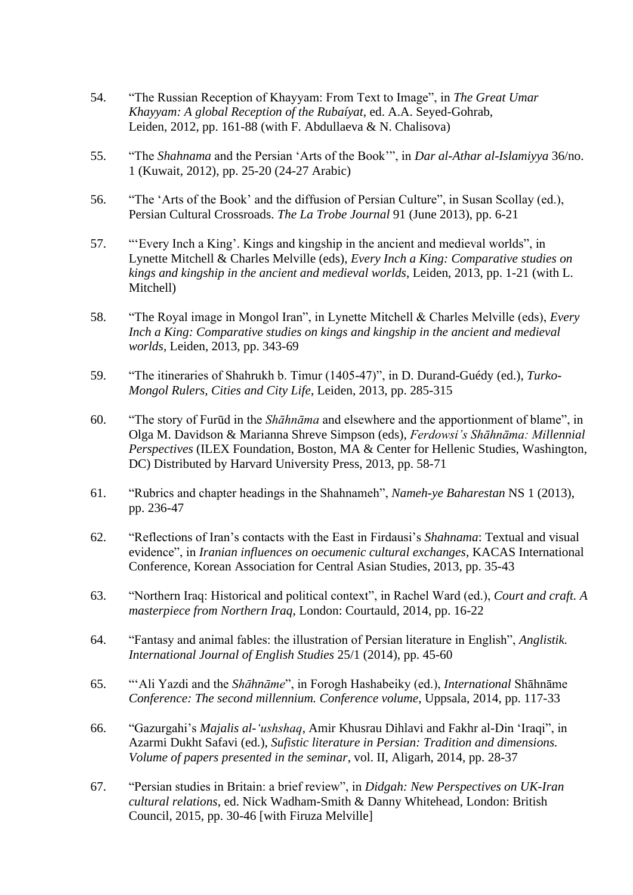- 54. "The Russian Reception of Khayyam: From Text to Image", in *The Great Umar Khayyam: A global Reception of the Rubaíyat*, ed. A.A. Seyed-Gohrab, Leiden, 2012, pp. 161-88 (with F. Abdullaeva & N. Chalisova)
- 55. "The *Shahnama* and the Persian 'Arts of the Book'", in *Dar al-Athar al-Islamiyya* 36/no. 1 (Kuwait, 2012), pp. 25-20 (24-27 Arabic)
- 56. "The 'Arts of the Book' and the diffusion of Persian Culture", in Susan Scollay (ed.), Persian Cultural Crossroads. *The La Trobe Journal* 91 (June 2013), pp. 6-21
- 57. "'Every Inch a King'. Kings and kingship in the ancient and medieval worlds", in Lynette Mitchell & Charles Melville (eds), *Every Inch a King: Comparative studies on kings and kingship in the ancient and medieval worlds*, Leiden, 2013, pp. 1-21 (with L. Mitchell)
- 58. "The Royal image in Mongol Iran", in Lynette Mitchell & Charles Melville (eds), *Every Inch a King: Comparative studies on kings and kingship in the ancient and medieval worlds*, Leiden, 2013, pp. 343-69
- 59. "The itineraries of Shahrukh b. Timur (1405-47)", in D. Durand-Guédy (ed.), *Turko-Mongol Rulers, Cities and City Life*, Leiden, 2013, pp. 285-315
- 60. "The story of Furūd in the *Shāhnāma* and elsewhere and the apportionment of blame", in Olga M. Davidson & Marianna Shreve Simpson (eds), *Ferdowsi's Shāhnāma: Millennial Perspectives* (ILEX Foundation, Boston, MA & Center for Hellenic Studies, Washington, DC) Distributed by Harvard University Press, 2013, pp. 58-71
- 61. "Rubrics and chapter headings in the Shahnameh", *Nameh-ye Baharestan* NS 1 (2013), pp. 236-47
- 62. "Reflections of Iran's contacts with the East in Firdausi's *Shahnama*: Textual and visual evidence", in *Iranian influences on oecumenic cultural exchanges*, KACAS International Conference, Korean Association for Central Asian Studies, 2013, pp. 35-43
- 63. "Northern Iraq: Historical and political context", in Rachel Ward (ed.), *Court and craft. A masterpiece from Northern Iraq*, London: Courtauld, 2014, pp. 16-22
- 64. "Fantasy and animal fables: the illustration of Persian literature in English", *Anglistik. International Journal of English Studies* 25/1 (2014), pp. 45-60
- 65. "'Ali Yazdi and the *Shāhnāme*", in Forogh Hashabeiky (ed.), *International* Shāhnāme *Conference: The second millennium. Conference volume*, Uppsala, 2014, pp. 117-33
- 66. "Gazurgahi's *Majalis al-'ushshaq*, Amir Khusrau Dihlavi and Fakhr al-Din 'Iraqi", in Azarmi Dukht Safavi (ed.), *Sufistic literature in Persian: Tradition and dimensions. Volume of papers presented in the seminar*, vol. II, Aligarh, 2014, pp. 28-37
- 67. "Persian studies in Britain: a brief review", in *Didgah: New Perspectives on UK-Iran cultural relations*, ed. Nick Wadham-Smith & Danny Whitehead, London: British Council, 2015, pp. 30-46 [with Firuza Melville]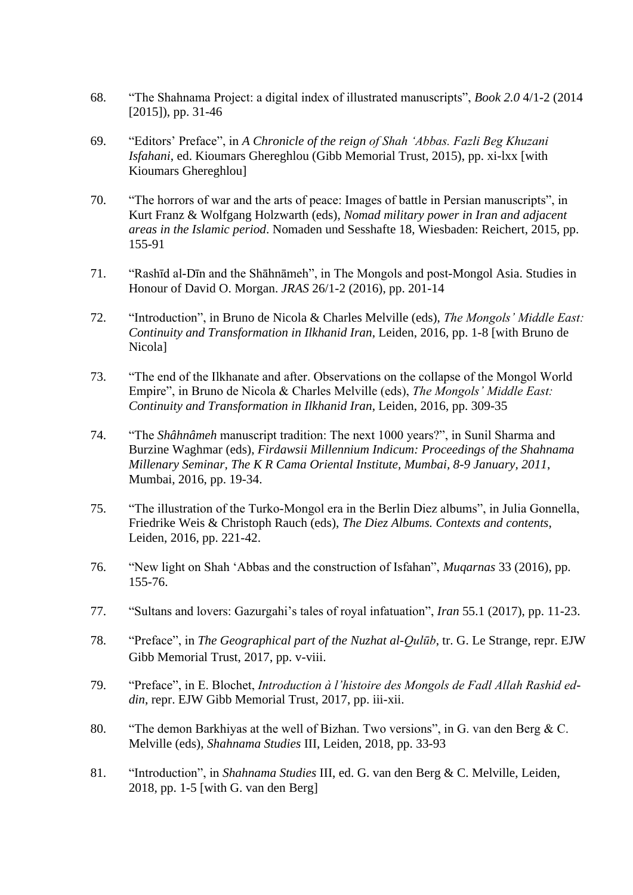- 68. "The Shahnama Project: a digital index of illustrated manuscripts", *Book 2.0* 4/1-2 (2014 [2015]), pp. 31-46
- 69. "Editors' Preface", in *A Chronicle of the reign of Shah 'Abbas. Fazli Beg Khuzani Isfahani*, ed. Kioumars Ghereghlou (Gibb Memorial Trust, 2015), pp. xi-lxx [with Kioumars Ghereghlou]
- 70. "The horrors of war and the arts of peace: Images of battle in Persian manuscripts", in Kurt Franz & Wolfgang Holzwarth (eds), *Nomad military power in Iran and adjacent areas in the Islamic period*. Nomaden und Sesshafte 18, Wiesbaden: Reichert, 2015, pp. 155-91
- 71. "Rashīd al-Dīn and the Shāhnāmeh", in The Mongols and post-Mongol Asia. Studies in Honour of David O. Morgan. *JRAS* 26/1-2 (2016), pp. 201-14
- 72. "Introduction", in Bruno de Nicola & Charles Melville (eds), *The Mongols' Middle East: Continuity and Transformation in Ilkhanid Iran*, Leiden, 2016, pp. 1-8 [with Bruno de Nicola]
- 73. "The end of the Ilkhanate and after. Observations on the collapse of the Mongol World Empire", in Bruno de Nicola & Charles Melville (eds), *The Mongols' Middle East: Continuity and Transformation in Ilkhanid Iran*, Leiden, 2016, pp. 309-35
- 74. "The *Shâhnâmeh* manuscript tradition: The next 1000 years?", in Sunil Sharma and Burzine Waghmar (eds), *Firdawsii Millennium Indicum: Proceedings of the Shahnama Millenary Seminar, The K R Cama Oriental Institute, Mumbai, 8-9 January, 2011*, Mumbai, 2016, pp. 19-34.
- 75. "The illustration of the Turko-Mongol era in the Berlin Diez albums", in Julia Gonnella, Friedrike Weis & Christoph Rauch (eds), *The Diez Albums. Contexts and contents*, Leiden, 2016, pp. 221-42.
- 76. "New light on Shah 'Abbas and the construction of Isfahan", *Muqarnas* 33 (2016), pp. 155-76.
- 77. "Sultans and lovers: Gazurgahi's tales of royal infatuation", *Iran* 55.1 (2017), pp. 11-23.
- 78. "Preface", in *The Geographical part of the Nuzhat al-Qulūb*, tr. G. Le Strange, repr. EJW Gibb Memorial Trust, 2017, pp. v-viii.
- 79. "Preface", in E. Blochet, *Introduction à l'histoire des Mongols de Fadl Allah Rashid eddin*, repr. EJW Gibb Memorial Trust, 2017, pp. iii-xii.
- 80. "The demon Barkhiyas at the well of Bizhan. Two versions", in G. van den Berg & C. Melville (eds), *Shahnama Studies* III, Leiden, 2018, pp. 33-93
- 81. "Introduction", in *Shahnama Studies* III, ed. G. van den Berg & C. Melville, Leiden, 2018, pp. 1-5 [with G. van den Berg]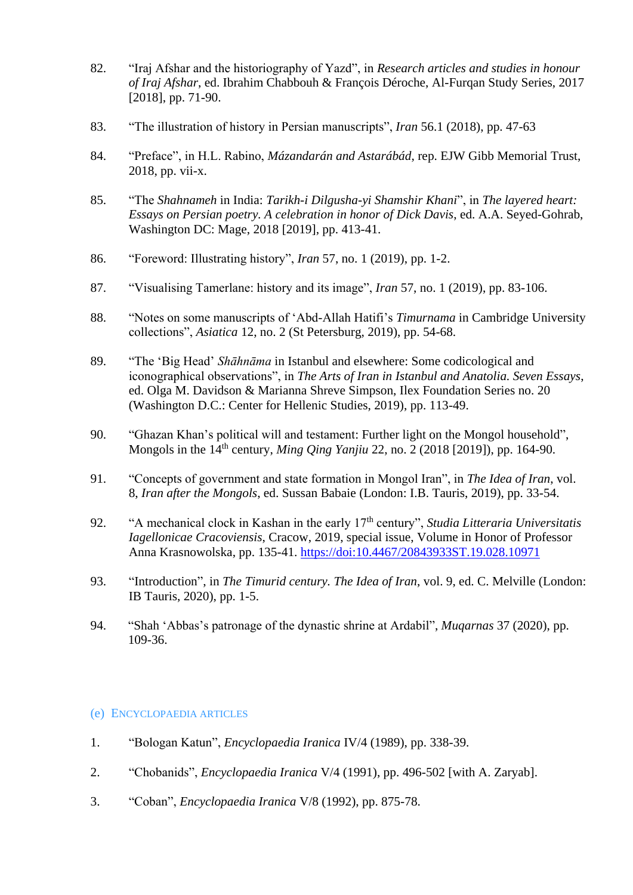- 82. "Iraj Afshar and the historiography of Yazd", in *Research articles and studies in honour of Iraj Afshar*, ed. Ibrahim Chabbouh & François Déroche, Al-Furqan Study Series, 2017 [2018], pp. 71-90.
- 83. "The illustration of history in Persian manuscripts", *Iran* 56.1 (2018), pp. 47-63
- 84. "Preface", in H.L. Rabino, *Mázandarán and Astarábád*, rep. EJW Gibb Memorial Trust, 2018, pp. vii-x.
- 85. "The *Shahnameh* in India: *Tarikh-i Dilgusha-yi Shamshir Khani*", in *The layered heart: Essays on Persian poetry. A celebration in honor of Dick Davis*, ed. A.A. Seyed-Gohrab, Washington DC: Mage, 2018 [2019], pp. 413-41.
- 86. "Foreword: Illustrating history", *Iran* 57, no. 1 (2019), pp. 1-2.
- 87. "Visualising Tamerlane: history and its image", *Iran* 57, no. 1 (2019), pp. 83-106.
- 88. "Notes on some manuscripts of 'Abd-Allah Hatifi's *Timurnama* in Cambridge University collections", *Asiatica* 12, no. 2 (St Petersburg, 2019), pp. 54-68.
- 89. "The 'Big Head' *Shāhnāma* in Istanbul and elsewhere: Some codicological and iconographical observations", in *The Arts of Iran in Istanbul and Anatolia. Seven Essays*, ed. Olga M. Davidson & Marianna Shreve Simpson, Ilex Foundation Series no. 20 (Washington D.C.: Center for Hellenic Studies, 2019), pp. 113-49.
- 90. "Ghazan Khan's political will and testament: Further light on the Mongol household", Mongols in the 14th century, *Ming Qing Yanjiu* 22, no. 2 (2018 [2019]), pp. 164-90.
- 91. "Concepts of government and state formation in Mongol Iran", in *The Idea of Iran*, vol. 8, *Iran after the Mongols*, ed. Sussan Babaie (London: I.B. Tauris, 2019), pp. 33-54.
- 92. "A mechanical clock in Kashan in the early 17<sup>th</sup> century", *Studia Litteraria Universitatis Iagellonicae Cracoviensis*, Cracow, 2019, special issue, Volume in Honor of Professor Anna Krasnowolska, pp. 135-41.<https://doi:10.4467/20843933ST.19.028.10971>
- 93. "Introduction", in *The Timurid century. The Idea of Iran*, vol. 9, ed. C. Melville (London: IB Tauris, 2020), pp. 1-5.
- 94. "Shah 'Abbas's patronage of the dynastic shrine at Ardabil", *Muqarnas* 37 (2020), pp. 109-36.

## (e) ENCYCLOPAEDIA ARTICLES

- 1. "Bologan Katun", *Encyclopaedia Iranica* IV/4 (1989), pp. 338-39.
- 2. "Chobanids", *Encyclopaedia Iranica* V/4 (1991), pp. 496-502 [with A. Zaryab].
- 3. "Coban", *Encyclopaedia Iranica* V/8 (1992), pp. 875-78.